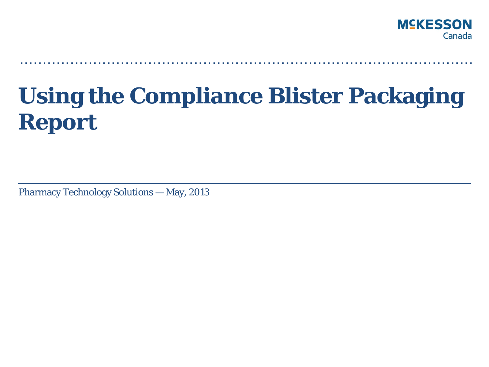

# **Using the Compliance Blister Packaging Report**

**. . . . . . . . . . . . . . . . . . . . . . . . . . . . . . . . . . . . . . . . . . . . . . . . . . . . . . . . . . . . . . . . . . . . . . . . . . . . . . . . . . . . . . . . . . . . . . . . . . .** 

Pharmacy Technology Solutions — May, 2013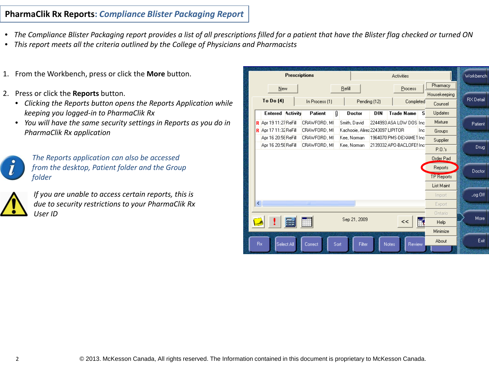## **PharmaClik Rx Reports:** *Compliance Blister Packaging Report*

- *The Compliance Blister Packaging report provides a list of all prescriptions filled for a patient that have the Blister flag checked or turned ON*
- *This report meets all the criteria outlined by the College of Physicians and Pharmacists*
- 1. From the Workbench, press or click the **More** button.
- 2. Press or click the **Reports** button.
	- *Clicking the Reports button opens the Reports Application while keeping you logged-in to PharmaClik Rx*
	- *You will have the same security settings in Reports as you do in PharmaClik Rx application*



*The Reports application can also be accessed from the desktop, Patient folder and the Group folder*



*If you are unable to access certain reports, this is due to security restrictions to your PharmaClik Rx User ID*

|     |                              | <b>Prescriptions</b>    |                |      |                                  |            |              | <b>Activities</b>         |     |                   | Workbench |
|-----|------------------------------|-------------------------|----------------|------|----------------------------------|------------|--------------|---------------------------|-----|-------------------|-----------|
|     |                              | New                     |                |      | Refill                           |            |              | Process                   |     | Pharmacy          |           |
|     |                              |                         |                |      |                                  |            |              |                           |     | Housekeeping      |           |
|     | To Do (4)                    |                         | In Process (1) |      | Pending (12)                     |            |              | Completed                 |     | Counsel           | RX Detail |
|     |                              | <b>Entered Activity</b> | Patient        | O    | Doctor                           | <b>DIN</b> |              | <b>Trade Name</b>         | s   | <b>Updates</b>    |           |
|     | <b>R</b> Apr 19 11:27 ReFill |                         | CRAWFORD, MI   |      | Smith, David                     |            |              | 2244993 ASA LOW DOS Inc   |     | Mixture           | Patient   |
|     | <b>R</b> Apr 17 11:32 ReFill |                         | CRAWFORD, MI   |      | Kachooie, Alirez 2243097 LIPITOR |            |              |                           | Inc | Groups            |           |
|     | Apr 16 20:58 ReFill          |                         | CRAWFORD, MI   |      | Kee, Norman                      |            |              | 1964070 PMS-DEXAMET Inc   |     | Supplier          |           |
|     | Apr 16 20:58 ReFill          |                         | CRAWFORD, MI   |      | Kee, Norman                      |            |              | 2139332 APO-BACLOFEI Inc: |     | P.0.'s            | Drug      |
|     |                              |                         |                |      |                                  |            |              |                           |     | Order Pad         |           |
|     |                              |                         |                |      |                                  |            |              |                           |     | Reports           |           |
|     |                              |                         |                |      |                                  |            |              |                           |     | <b>TP Reports</b> | Doctor    |
|     |                              |                         |                |      |                                  |            |              |                           |     | List Maint        |           |
|     |                              |                         |                |      |                                  |            |              |                           |     | Import            | Log Off   |
| ∢   |                              |                         | $\rm HII$      |      |                                  |            |              |                           |     | Export            |           |
|     |                              |                         |                |      |                                  |            |              |                           |     | Ontario           |           |
|     |                              |                         |                |      | Sep 21, 2009                     |            |              | 3>                        |     | <b>Help</b>       | More      |
|     |                              |                         |                |      |                                  |            |              |                           |     | Minimize          |           |
|     |                              |                         |                |      |                                  |            |              |                           |     | About             | Exit      |
| Bx. |                              | Select All              | Correct        | Sort | Filter                           |            | <b>Notes</b> | Review                    |     |                   |           |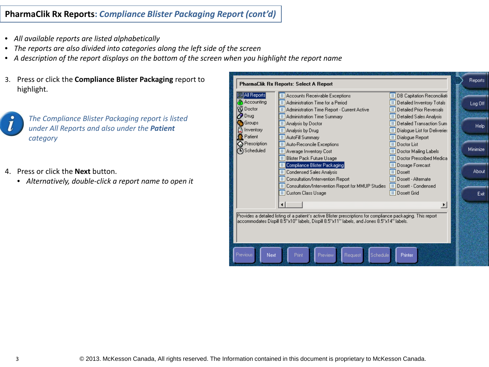## **PharmaClik Rx Reports:** *Compliance Blister Packaging Report (cont'd)*

- *All available reports are listed alphabetically*
- *The reports are also divided into categories along the left side of the screen*
- *A description of the report displays on the bottom of the screen when you highlight the report name*
- 3. Press or click the **Compliance Blister Packaging** report to highlight.



*The Compliance Blister Packaging report is listed under All Reports and also under the Patient category*

- 4. Press or click the **Next** button.
	- *Alternatively, double-click a report name to open it*

|                                      | PharmaClik Rx Reports: Select A Report                                                                                                                                                                       |                                                                                                                | Reports  |
|--------------------------------------|--------------------------------------------------------------------------------------------------------------------------------------------------------------------------------------------------------------|----------------------------------------------------------------------------------------------------------------|----------|
| All Reports<br>Accounting<br>Doctor  | $\equiv$ Accounts Receivable Exceptions<br>▤<br>Administration Time for a Period<br>$\equiv$ Administration Time Report - Current Active                                                                     | $\equiv$ DB Capitation Reconciliati<br>$\equiv$ Detailed Inventory Totals<br>$\equiv$ Detailed Prior Reversals | Log Off  |
| Drug<br>Groups<br>Inventory          | $\equiv$ Administration Time Summary<br>Analysis by Doctor<br>Е<br>Analysis by Drug<br>≣                                                                                                                     | $\equiv$ Detailed Sales Analysis<br>Detailed Transaction Sum<br>Е<br>Dialogue List for Deliveries              | Help     |
| Patient<br>Prescription<br>Scheduled | ▤<br>AutoFill Summary<br>$\equiv$ Auto-Reconcile Exceptions<br>$\equiv$ Average Inventory Cost<br><b>Blister Pack Future Usage</b><br>ΞΙ                                                                     | Dialogue Report<br>Doctor List<br>≡<br>$\equiv$ Doctor Mailing Labels<br>$\equiv$ Doctor Prescribed Medica     | Minimize |
|                                      | Compliance Blister Packaging<br>Condensed Sales Analysis<br>ΕΙ<br>Consultation/Intervention Report<br>Е                                                                                                      | Dosage Forecast<br>Dosett<br>⋿<br>$\equiv$ Dosett - Alternate                                                  | About    |
|                                      | Consultation/Intervention Report for MMUP Studies<br>ΕΙ<br>⊟<br><b>Custom Class Usage</b>                                                                                                                    | $\equiv$ Dosett - Condensed<br>$\equiv$ Dosett Grid                                                            | Exit     |
|                                      | Provides a detailed listing of a patient's active Blister prescriptions for compliance packaging. This report-<br>laccommodates Dispill 8.5"x10" labels, Dispill 8.5"x11" labels, and Jones 8.5"x14" labels. | ▸                                                                                                              |          |
| Previous<br>Next                     | Preview<br>Request<br>Schedule<br>Print                                                                                                                                                                      | Printer                                                                                                        |          |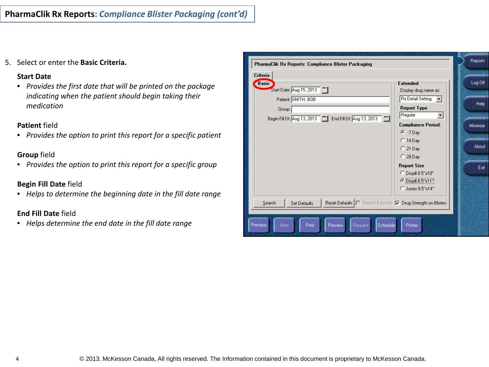5. Select or enter the **Basic Criteria.**

#### **Start Date**

• *Provides the first date that will be printed on the package indicating when the patient should begin taking their medication*

#### **Patient** field

• *Provides the option to print this report for a specific patient*

## **Group** field

• *Provides the option to print this report for a specific group*

## **Begin Fill Date** field

• *Helps to determine the beginning date in the fill date range*

## **End Fill Date** field

• *Helps determine the end date in the fill date range*

| PharmaClik Rx Reports: Compliance Blister Packaging                                        |          |  |  |  |  |  |  |
|--------------------------------------------------------------------------------------------|----------|--|--|--|--|--|--|
| Criteria                                                                                   |          |  |  |  |  |  |  |
| <b>Basic</b><br><b>Extended</b>                                                            | Log Off  |  |  |  |  |  |  |
| Start Date: Aug 15, 2013<br>Display drug name as:                                          |          |  |  |  |  |  |  |
| <b>Rx Detail Setting</b><br>Patient: SMITH, BOB                                            | Help     |  |  |  |  |  |  |
| <b>Report Type</b><br>Group:                                                               |          |  |  |  |  |  |  |
| Regular<br>▼<br>Begin Fill Dt: Aug 13, 2013   [11] End Fill Dt: Aug 13, 2013   [11]        |          |  |  |  |  |  |  |
| <b>Compliance Period:</b>                                                                  | Minimize |  |  |  |  |  |  |
| $F = 7$ Day                                                                                |          |  |  |  |  |  |  |
| $C$ 14 Day                                                                                 |          |  |  |  |  |  |  |
| $C$ 21 Day                                                                                 | About    |  |  |  |  |  |  |
| $\degree$ 28 Day                                                                           |          |  |  |  |  |  |  |
| <b>Report Size</b>                                                                         | Exit     |  |  |  |  |  |  |
| C Dispill 8.5"x10"                                                                         |          |  |  |  |  |  |  |
| © Dispill 8.5"x11"                                                                         |          |  |  |  |  |  |  |
| C Jones 8.5"x14"                                                                           |          |  |  |  |  |  |  |
| Reset Defaults     Reprint Barcode     Drug Strength on Blisters<br>Search<br>Set Defaults |          |  |  |  |  |  |  |
|                                                                                            |          |  |  |  |  |  |  |
| Previous <sup>1</sup><br>Preview<br>Next<br>Print<br>Request<br>Schedule<br><b>Printer</b> |          |  |  |  |  |  |  |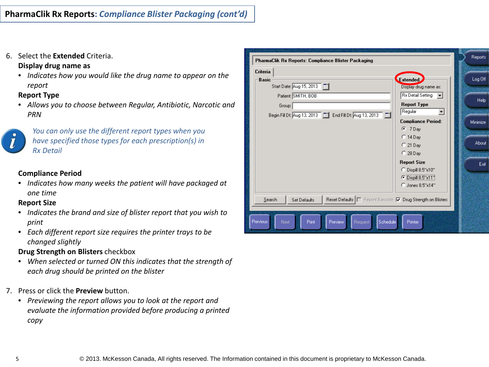6. Select the **Extended** Criteria.

## **Display drug name as**

• *Indicates how you would like the drug name to appear on the report*

## **Report Type**

• *Allows you to choose between Regular, Antibiotic, Narcotic and PRN*



*You can only use the different report types when you have specified those types for each prescription(s) in Rx Detail*

## **Compliance Period**

• *Indicates how many weeks the patient will have packaged at one time*

#### **Report Size**

- *Indicates the brand and size of blister report that you wish to print*
- *Each different report size requires the printer trays to be changed slightly*

## **Drug Strength on Blisters** checkbox

- *When selected or turned ON this indicates that the strength of each drug should be printed on the blister*
- 7. Press or click the **Preview** button.
	- *Previewing the report allows you to look at the report and evaluate the information provided before producing a printed copy*

| PharmaClik Rx Reports: Compliance Blister Packaging                                      | Reports  |
|------------------------------------------------------------------------------------------|----------|
| Criteria                                                                                 |          |
| Extended<br><b>Basic</b><br>Start Date: Aug 15, 2013<br>Display drug name as:            | Log Off  |
| <b>Rx Detail Setting</b><br>Patient: SMITH, BOB                                          |          |
| <b>Report Type</b><br>Group:                                                             | Help     |
| Regular<br>Begin Fill Dt: Aug 13, 2013   End Fill Dt: Aug 13, 2013   End                 |          |
| <b>Compliance Period:</b><br>$C$ 7 Day                                                   | Minimize |
| $C$ 14 Day                                                                               |          |
| $C$ 21 Day                                                                               | About    |
| $C$ 28 Day                                                                               |          |
| <b>Report Size</b><br>C Dispill 8.5"x10"                                                 | Exit     |
| © Dispill 8.5"x11"                                                                       |          |
| C Jones 8.5"x14"                                                                         |          |
| Reset Defaults     Reprint Barcode   Drug Strength on Blisters<br>Search<br>Set Defaults |          |
|                                                                                          |          |
| <b>Previous</b><br>Preview<br>Schedule<br>Next<br>Print<br>Printer<br>Request            |          |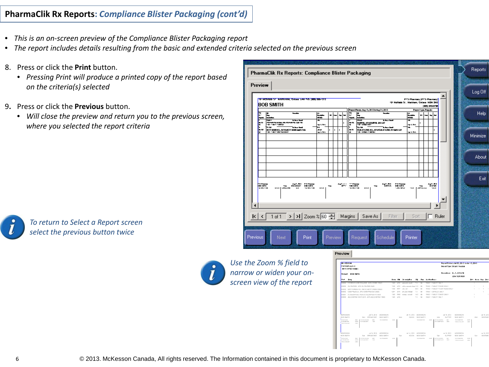## **PharmaClik Rx Reports:** *Compliance Blister Packaging (cont'd)*

- *This is an on-screen preview of the Compliance Blister Packaging report*
- *The report includes details resulting from the basic and extended criteria selected on the previous screen*
- 8. Press or click the **Print** button.
	- *Pressing Print will produce a printed copy of the report based on the criteria(s) selected*
- 9**.** Press or click the **Previous** button.
	- *Will close the preview and return you to the previous screen, where you selected the report criteria*

|                      |               | PharmaClik Rx Reports: Compliance Blister Packaging                                                      |                                |     |                |    |   |                                |                                                                                                       |                             |                          |                |                |                |              |  | Reports  |
|----------------------|---------------|----------------------------------------------------------------------------------------------------------|--------------------------------|-----|----------------|----|---|--------------------------------|-------------------------------------------------------------------------------------------------------|-----------------------------|--------------------------|----------------|----------------|----------------|--------------|--|----------|
| Preview              |               | 191 MOUSE ST. MUSCHUM, ONEIG LAM IVS (205) 225-1212                                                      |                                |     |                |    |   |                                | 191 McPaldo St., Markham, Onlario, M2M 2M2                                                            | PTS Pharmacy (PTS Pharmacy) |                          |                |                |                |              |  | Log Off  |
|                      | ы<br>۰.<br>ьm | <b>BOB SMITH</b><br><b>Service</b><br>ô,<br><b>TUB</b> F<br>---<br><b>CONFIDENTIAL AS VEHICLES AS AS</b> | E<br>≖                         |     | $\blacksquare$ | ۰, | ٠ | 14<br>n.<br>یسم<br>$n_{\rm m}$ | Paper Parise, Apr 15, 38 13 to Aug 31, 38 13<br>ڪ<br>►<br>ш<br>कर<br>$\overline{\phantom{a}}$         | F<br>∓                      | Papel I ye. Pagsin<br>ш. | $\overline{ }$ | (200) 242-2720 | ⊶∣⊷            |              |  | Help     |
|                      | u<br>F<br>œ   | 40-1-81-1-80A)<br>mm.<br>METERSAN NEL, RATIONETE GRAN SHARTAGE<br>-0-1-87 1994 1612841                   | with the L<br>سد<br>ment first |     | ×.             | ×. |   | ĸ<br>P<br>×                    | RAMPRE, APORAMPRE SALCAP<br>hu-na<br>---<br>VEHEN FORE HOL, APONEHEN KORE DR 1940 OUP<br>-0-0400-0000 | mpik Mek<br>۰<br>with the L |                          |                |                |                |              |  | Minimize |
|                      |               |                                                                                                          |                                |     |                |    |   |                                |                                                                                                       |                             |                          |                |                |                |              |  | About    |
|                      | <b>Barnet</b> | digit, 2012 - PS Floorey                                                                                 |                                |     |                |    |   | <b>SANCE TO BEE</b>            | <b>STATE</b><br><b>PS Figures</b>                                                                     |                             |                          |                |                | <b>Section</b> |              |  | Exit     |
| $\blacktriangleleft$ | <b>NUMBER</b> | <b>BOB 357H</b><br><b>BREAKING</b><br>500<br><br><br><b>CONTRACTOR</b>                                   | $\cdots$                       | 500 |                |    |   | <b>SECTION</b>                 | <b>IG IN H</b><br>500<br><br><b>Concerner</b>                                                         | 11.8                        | 500                      |                |                |                |              |  |          |
|                      | k  <          | >   >     Zoom % 60   Margins   Save As<br>1 of 1                                                        |                                |     |                |    |   |                                | Filter                                                                                                | Sort                        |                          |                |                |                | $\Box$ Ruler |  |          |
| <b>Previous</b>      |               | Print<br><b>Next</b>                                                                                     |                                |     | <b>Preview</b> |    |   |                                | Request<br>Schedule                                                                                   | Printer                     |                          |                |                |                |              |  |          |

Preview



*To return to Select a Report screen select the previous button twice*



*Use the Zoom % field to narrow or widen your onscreen view of the report*

| <b>BOKEROON</b>                                              | <b>PHARMACING</b><br><b>MARKHAM, Onlario</b> |                                                                              |                              |              |            |                                      |             |                       |                                                         |                                | Report Period: Jul 09, 2013 to Jul 15, 2013<br>Report Type: Dispill Regular |                         |                          |                          |
|--------------------------------------------------------------|----------------------------------------------|------------------------------------------------------------------------------|------------------------------|--------------|------------|--------------------------------------|-------------|-----------------------|---------------------------------------------------------|--------------------------------|-----------------------------------------------------------------------------|-------------------------|--------------------------|--------------------------|
|                                                              | Patent BOB SMTH                              |                                                                              |                              |              |            |                                      |             |                       |                                                         |                                | Prescriber: Dr. A. BROWN<br>(204) 925-3600                                  |                         |                          |                          |
| R:#                                                          | Crug                                         |                                                                              |                              |              |            | Form lift Docorlotton                | Qtr         | Rep                   | In structions                                           |                                |                                                                             |                         | <b>ER:1 Noon Sup Bed</b> |                          |
| 500001                                                       |                                              | HYDROCHLOROTHIAZICE, APO-HYDRO 26MG                                          |                              | TAB APX      |            | calc cirk round                      | 7.0         | 99                    | TAKE 1 TABLET DAILY                                     |                                |                                                                             |                         |                          |                          |
| 920004                                                       |                                              | GLYBURDE, APO GLYBURDE BWG                                                   |                              | TAIS.        | <b>APX</b> | solvita, consisting silvane full (1) |             | $^{22}$               | TAKE 1 TABLET TWICE DAILY                               |                                |                                                                             |                         |                          | ٠                        |
| RODODY                                                       |                                              | METFORWIN HOL, RATIO-METFORWIN 500MG.                                        |                              | T.ML         | <b>RTP</b> | sald, rest                           | 28.0        | $^{22}$               | EAKE 1 TARLET FOUR TIMES OALLY                          |                                |                                                                             |                         |                          |                          |
| Remove                                                       |                                              | OMEPRAZOLE, APO OMEPRAZOLE 20MG.                                             |                              | <b>CAP</b>   | APY.       | onk 2nd hrd-gol                      | 7.0         | $^{22}$               | EAKE 1 CAPRELE DAILY                                    |                                |                                                                             |                         |                          | $\sim$                   |
| 500001<br>500000                                             |                                              | CLONAZEPAM, PMS-CLONAZEPAM R 0.5MG<br>ANLOOPINE BESYLATE, APO ANLOOPINE 1990 |                              | TAB<br>TAB   | PMS<br>APX | grands, scored                       | 14.0<br>7.0 | $-22$<br>$^{22}$      | EAKE 1 TABLET TWICE DAILY<br><b>EAKE 1 TABLET DAILY</b> |                                |                                                                             |                         |                          |                          |
| MOGERSON<br>FICIR RAILTH                                     |                                              | Jul 16, 2013<br>May FIREARTART                                               | MOSTERON<br><b>ROR SMITH</b> |              | Ballyje v  | A4 15, 2013<br>NOON                  |             | MORRADN<br>FIOR SMITH | <b>Riferent</b>                                         | Jul 16, 2013<br><b>SLIPPER</b> | MORESON<br>FIOR SMITH                                                       |                         | <b>Bulletin</b>          | Jul 16, 20<br>REOTIM     |
| CONTAANTING<br>TRAINING BORS<br>TEMPLO DEALER                | TAUN<br>senary.<br>EMAG                      | La provincia con interior<br>MAY.<br>120 YEAR OLD FEMALES<br>TRANS           | THE WARR WAY                 | <b>ATTN:</b> |            |                                      |             | THE WARRING           | A REPORT VIOLATION<br><b>STRAY</b><br>A ROSENHAM TO     | MAY<br><b>TRAN</b>             | THE ROAD WAY<br>TRANSDORF                                                   | services.<br><b>EMO</b> |                          |                          |
| MOKESSON<br>FICIR RESTH                                      |                                              | Jul 14, 2013<br>San FREEZICEART                                              | MOKESSON<br>ROR REETH        |              | Sept.      | Jul 14, 2013 MOVESSON<br>NOON        |             | BOB SMITH             | Sun.                                                    | Jul 14, 2013<br>SI DOFIN       | MOKESSON<br>FICIR RAILTH                                                    |                         | Sec.                     | 34,20<br><b>REDITION</b> |
| CONTINUES<br><b>TAX ROAD BORS</b><br><b>PERMIT AT A LANT</b> | 2851<br><b>NEMO</b><br>Lister                | 14/10/03 19 6 8:00<br>MAS<br>1221024-00201<br>TAG                            | THE STAR WORK                | <b>NEMS</b>  |            |                                      |             | TEA SOLID BOX         | <b>NEMS</b><br>APOSTOLICE<br>APO/BREWATER               | MAS<br><b>XMS</b>              | TRAINING BORS<br>TEMPLO DEALER                                              | scars.<br>Listers.      |                          |                          |